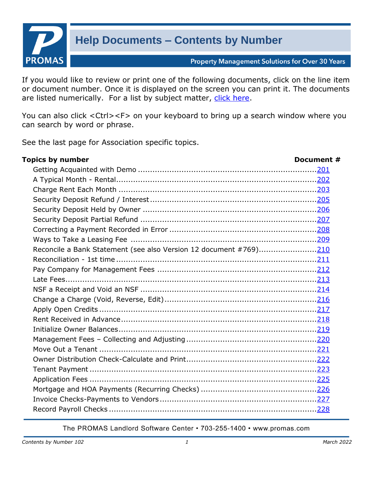

If you would like to review or print one of the following documents, click on the line item or document number. Once it is displayed on the screen you can print it. The documents are listed numerically. For a list by subject matter, [click here.](http://promas.com/pdf/M-101%20Contents%20by%20Subject.pdf)

You can also click <Ctrl><F> on your keyboard to bring up a search window where you can search by word or phrase.

See the last page for Association specific topics.

| <b>Topics by number</b>                                           | Document # |
|-------------------------------------------------------------------|------------|
|                                                                   |            |
|                                                                   |            |
|                                                                   |            |
|                                                                   |            |
|                                                                   |            |
|                                                                   |            |
|                                                                   |            |
|                                                                   |            |
| Reconcile a Bank Statement (see also Version 12 document #769)210 |            |
|                                                                   |            |
|                                                                   |            |
|                                                                   |            |
|                                                                   |            |
|                                                                   |            |
|                                                                   |            |
|                                                                   |            |
|                                                                   |            |
|                                                                   |            |
|                                                                   |            |
|                                                                   |            |
|                                                                   |            |
|                                                                   |            |
|                                                                   |            |
|                                                                   |            |
|                                                                   |            |
|                                                                   |            |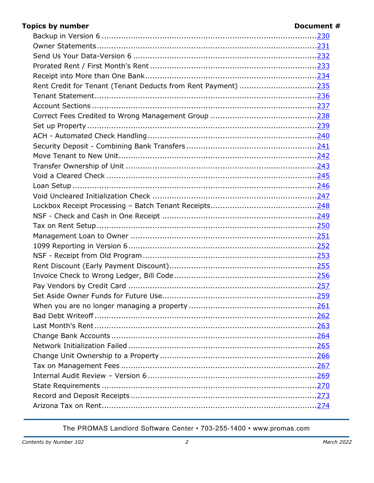# **Topics by number**

#### Document #

| Rent Credit for Tenant (Tenant Deducts from Rent Payment) 235 |
|---------------------------------------------------------------|
|                                                               |
|                                                               |
|                                                               |
|                                                               |
|                                                               |
|                                                               |
|                                                               |
|                                                               |
|                                                               |
|                                                               |
|                                                               |
|                                                               |
|                                                               |
|                                                               |
|                                                               |
|                                                               |
|                                                               |
|                                                               |
|                                                               |
|                                                               |
|                                                               |
|                                                               |
|                                                               |
|                                                               |
|                                                               |
|                                                               |
|                                                               |
|                                                               |
|                                                               |
|                                                               |
|                                                               |
|                                                               |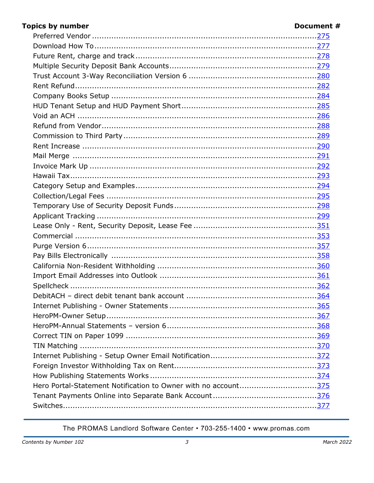# **Topics by number**

#### Document #

| Hero Portal-Statement Notification to Owner with no account375 |
|----------------------------------------------------------------|
|                                                                |
|                                                                |
|                                                                |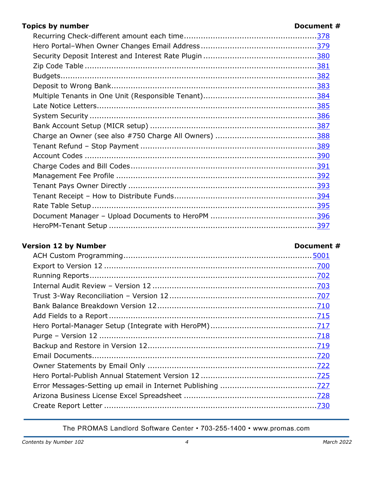# **Topics by number**

#### Document #

# **Version 12 by Number**

#### Document #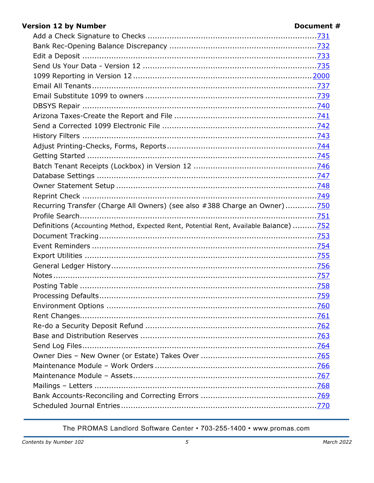# **Version 12 by Number**

#### Document #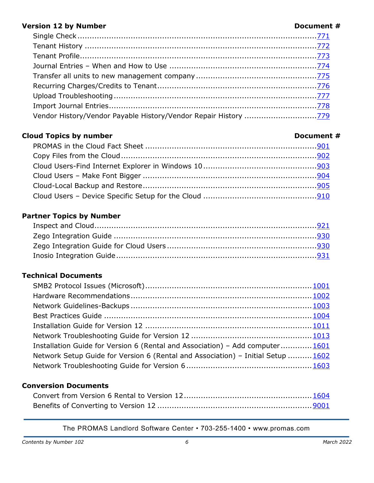### **Version 12 by Number Document #**

### **Cloud Topics by number Document #**

# **Partner Topics by Number**

# **Technical Documents**

| Installation Guide for Version 6 (Rental and Association) – Add computer 1601    |  |
|----------------------------------------------------------------------------------|--|
| Network Setup Guide for Version 6 (Rental and Association) - Initial Setup  1602 |  |
|                                                                                  |  |

### **Conversion Documents**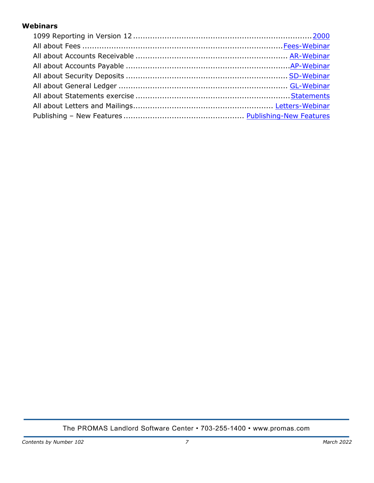# **Webinars**